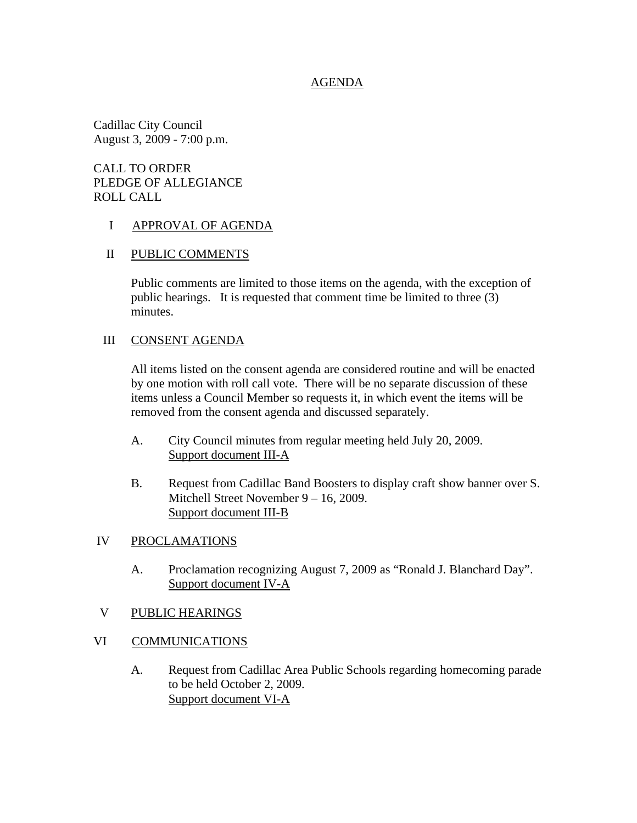### AGENDA

Cadillac City Council August 3, 2009 - 7:00 p.m.

CALL TO ORDER PLEDGE OF ALLEGIANCE ROLL CALL

### I APPROVAL OF AGENDA

#### II PUBLIC COMMENTS

 Public comments are limited to those items on the agenda, with the exception of public hearings. It is requested that comment time be limited to three (3) minutes.

#### III CONSENT AGENDA

All items listed on the consent agenda are considered routine and will be enacted by one motion with roll call vote. There will be no separate discussion of these items unless a Council Member so requests it, in which event the items will be removed from the consent agenda and discussed separately.

- A. City Council minutes from regular meeting held July 20, 2009. Support document III-A
- B. Request from Cadillac Band Boosters to display craft show banner over S. Mitchell Street November 9 – 16, 2009. Support document III-B

### IV PROCLAMATIONS

- A. Proclamation recognizing August 7, 2009 as "Ronald J. Blanchard Day". Support document IV-A
- V PUBLIC HEARINGS
- VI COMMUNICATIONS
	- A. Request from Cadillac Area Public Schools regarding homecoming parade to be held October 2, 2009. Support document VI-A